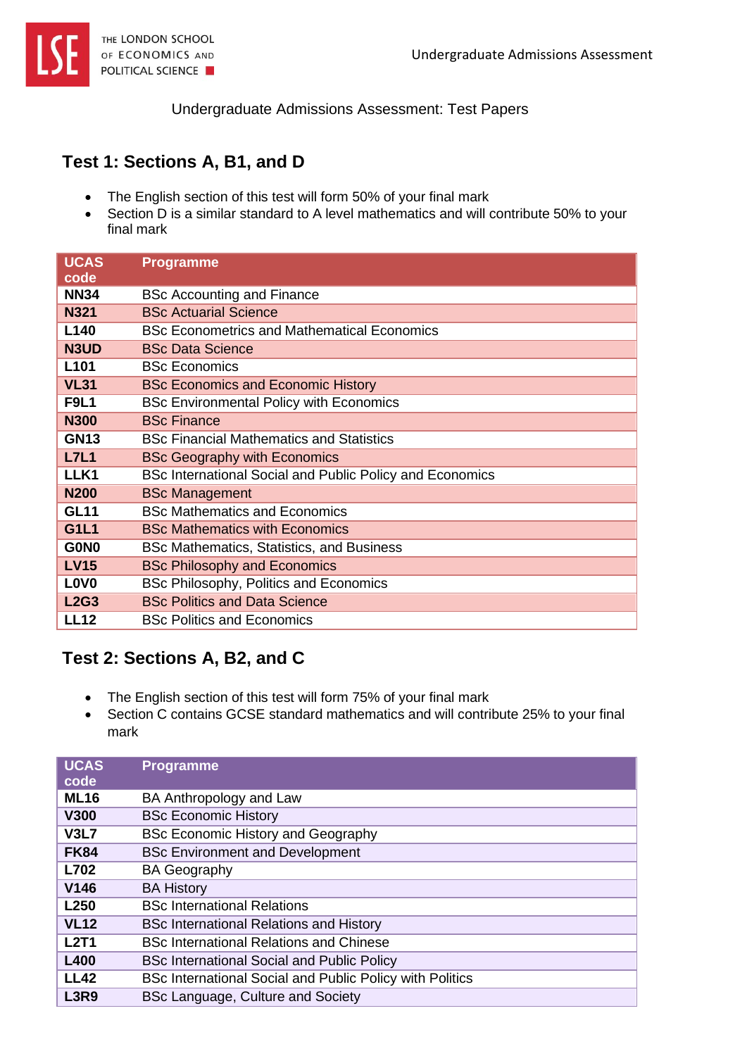

Undergraduate Admissions Assessment: Test Papers

## **Test 1: Sections A, B1, and D**

- The English section of this test will form 50% of your final mark
- Section D is a similar standard to A level mathematics and will contribute 50% to your final mark

| <b>UCAS</b><br>code           | <b>Programme</b>                                         |
|-------------------------------|----------------------------------------------------------|
| <b>NN34</b>                   | <b>BSc Accounting and Finance</b>                        |
| <b>N321</b>                   | <b>BSc Actuarial Science</b>                             |
| L <sub>140</sub>              | <b>BSc Econometrics and Mathematical Economics</b>       |
| N3UD                          | <b>BSc Data Science</b>                                  |
| L <sub>101</sub>              | <b>BSc Economics</b>                                     |
| <b>VL31</b>                   | <b>BSc Economics and Economic History</b>                |
| <b>F9L1</b>                   | <b>BSc Environmental Policy with Economics</b>           |
| <b>N300</b>                   | <b>BSc Finance</b>                                       |
| <b>GN13</b>                   | <b>BSc Financial Mathematics and Statistics</b>          |
| <b>L7L1</b>                   | <b>BSc Geography with Economics</b>                      |
| LLK1                          | BSc International Social and Public Policy and Economics |
| <b>N200</b>                   | <b>BSc Management</b>                                    |
| <b>GL11</b>                   | <b>BSc Mathematics and Economics</b>                     |
| <b>G1L1</b>                   | <b>BSc Mathematics with Economics</b>                    |
| G0N <sub>0</sub>              | BSc Mathematics, Statistics, and Business                |
| <b>LV15</b>                   | <b>BSc Philosophy and Economics</b>                      |
| L <sub>0</sub> V <sub>0</sub> | BSc Philosophy, Politics and Economics                   |
| <b>L2G3</b>                   | <b>BSc Politics and Data Science</b>                     |
| <b>LL12</b>                   | <b>BSc Politics and Economics</b>                        |

## **Test 2: Sections A, B2, and C**

- The English section of this test will form 75% of your final mark
- Section C contains GCSE standard mathematics and will contribute 25% to your final mark

| <b>UCAS</b><br>code | <b>Programme</b>                                         |
|---------------------|----------------------------------------------------------|
| <b>ML16</b>         | BA Anthropology and Law                                  |
| <b>V300</b>         | <b>BSc Economic History</b>                              |
| <b>V3L7</b>         | <b>BSc Economic History and Geography</b>                |
| <b>FK84</b>         | <b>BSc Environment and Development</b>                   |
| L702                | <b>BA Geography</b>                                      |
| V <sub>146</sub>    | <b>BA History</b>                                        |
| L250                | <b>BSc International Relations</b>                       |
| <b>VL12</b>         | <b>BSc International Relations and History</b>           |
| <b>L2T1</b>         | <b>BSc International Relations and Chinese</b>           |
| <b>L400</b>         | <b>BSc International Social and Public Policy</b>        |
| <b>LL42</b>         | BSc International Social and Public Policy with Politics |
| <b>L3R9</b>         | BSc Language, Culture and Society                        |